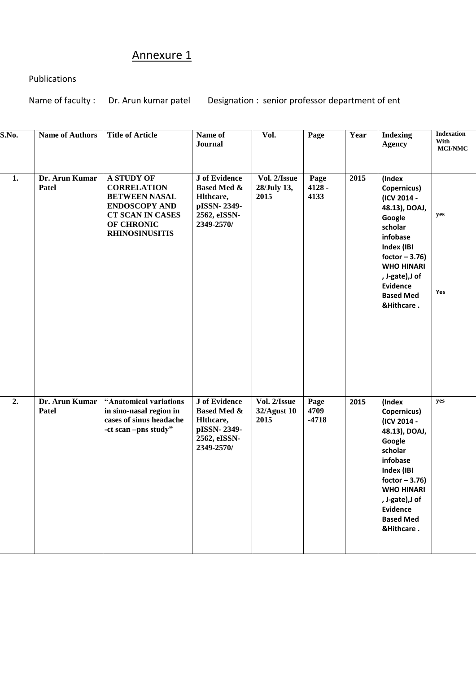## Annexure 1

## Publications

Name of faculty : Dr. Arun kumar patel Designation : senior professor department of ent

| S.No. | <b>Name of Authors</b>  | <b>Title of Article</b>                                                                                                                                   | Name of<br>Journal                                                                                       | Vol.                                | Page                     | Year | <b>Indexing</b><br><b>Agency</b>                                                                                                                                                                                      | <b>Indexation</b><br>With<br><b>MCI/NMC</b> |
|-------|-------------------------|-----------------------------------------------------------------------------------------------------------------------------------------------------------|----------------------------------------------------------------------------------------------------------|-------------------------------------|--------------------------|------|-----------------------------------------------------------------------------------------------------------------------------------------------------------------------------------------------------------------------|---------------------------------------------|
| 1.    | Dr. Arun Kumar<br>Patel | <b>A STUDY OF</b><br><b>CORRELATION</b><br><b>BETWEEN NASAL</b><br><b>ENDOSCOPY AND</b><br><b>CT SCAN IN CASES</b><br>OF CHRONIC<br><b>RHINOSINUSITIS</b> | <b>J</b> of Evidence<br><b>Based Med &amp;</b><br>Hlthcare,<br>pISSN-2349-<br>2562, eISSN-<br>2349-2570/ | Vol. 2/Issue<br>28/July 13,<br>2015 | Page<br>$4128 -$<br>4133 | 2015 | (Index<br>Copernicus)<br>(ICV 2014 -<br>48.13), DOAJ,<br>Google<br>scholar<br>infobase<br>Index (IBI<br>foctor $-3.76$ )<br><b>WHO HINARI</b><br>, J-gate), J of<br><b>Evidence</b><br><b>Based Med</b><br>&Hithcare. | yes<br>Yes                                  |
| 2.    | Dr. Arun Kumar<br>Patel | "Anatomical variations<br>in sino-nasal region in<br>cases of sinus headache<br>-ct scan -pns study"                                                      | <b>J</b> of Evidence<br><b>Based Med &amp;</b><br>Hlthcare,<br>pISSN-2349-<br>2562, eISSN-<br>2349-2570/ | Vol. 2/Issue<br>32/Agust 10<br>2015 | Page<br>4709<br>$-4718$  | 2015 | (Index<br>Copernicus)<br>(ICV 2014 -<br>48.13), DOAJ,<br>Google<br>scholar<br>infobase<br>Index (IBI<br>foctor $-3.76$ )<br><b>WHO HINARI</b><br>, J-gate), J of<br><b>Evidence</b><br><b>Based Med</b><br>&Hithcare. | yes                                         |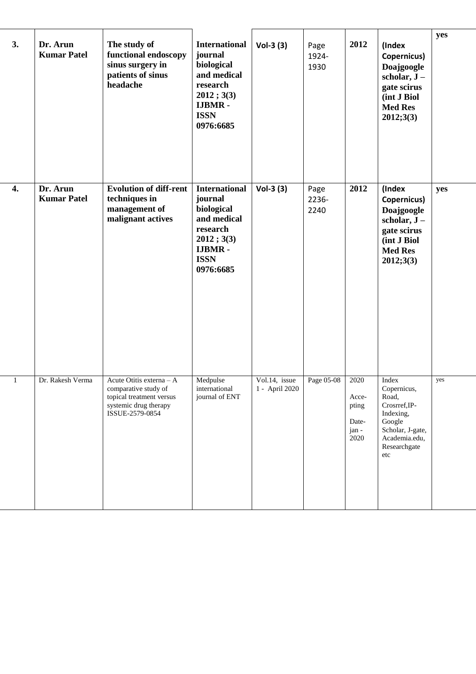| 3.           | Dr. Arun<br><b>Kumar Patel</b> | The study of<br>functional endoscopy<br>sinus surgery in<br>patients of sinus<br>headache                                | <b>International</b><br>journal<br>biological<br>and medical<br>research<br>2012; 3(3)<br><b>IJBMR-</b><br><b>ISSN</b><br>0976:6685 | $Vol-3(3)$                      | Page<br>1924-<br>1930 | 2012                                             | (Index<br>Copernicus)<br>Doajgoogle<br>scholar, $J -$<br>gate scirus<br>(int J Biol<br><b>Med Res</b><br>2012;3(3)                | yes |
|--------------|--------------------------------|--------------------------------------------------------------------------------------------------------------------------|-------------------------------------------------------------------------------------------------------------------------------------|---------------------------------|-----------------------|--------------------------------------------------|-----------------------------------------------------------------------------------------------------------------------------------|-----|
| 4.           | Dr. Arun<br><b>Kumar Patel</b> | <b>Evolution of diff-rent</b><br>techniques in<br>management of<br>malignant actives                                     | <b>International</b><br>journal<br>biological<br>and medical<br>research<br>2012; 3(3)<br><b>IJBMR-</b><br><b>ISSN</b><br>0976:6685 | $Vol-3(3)$                      | Page<br>2236-<br>2240 | 2012                                             | (Index<br>Copernicus)<br>Doajgoogle<br>scholar, $J -$<br>gate scirus<br>(int J Biol<br><b>Med Res</b><br>2012;3(3)                | yes |
| $\mathbf{1}$ | Dr. Rakesh Verma               | Acute Otitis externa - A<br>comparative study of<br>topical treatment versus<br>systemic drug therapy<br>ISSUE-2579-0854 | Medpulse<br>international<br>journal of ENT                                                                                         | Vol.14, issue<br>1 - April 2020 | Page 05-08            | 2020<br>Acce-<br>pting<br>Date-<br>jan -<br>2020 | Index<br>Copernicus,<br>Road,<br>Crosrref, IP-<br>Indexing,<br>Google<br>Scholar, J-gate,<br>Academia.edu,<br>Researchgate<br>etc | yes |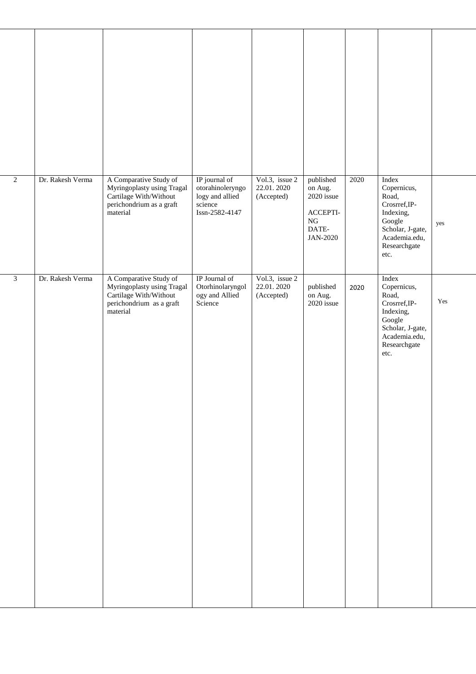| $\overline{2}$ | Dr. Rakesh Verma | A Comparative Study of<br>Myringoplasty using Tragal<br>Cartilage With/Without<br>perichondrium as a graft<br>material | IP journal of<br>otorahinoleryngo<br>logy and allied<br>science<br>Issn-2582-4147 | Vol.3, issue 2<br>22.01.2020<br>(Accepted) | published<br>on Aug.<br>2020 issue<br>ACCEPTI-<br>${\rm NG}$<br>DATE-<br>JAN-2020 | 2020 | Index<br>Copernicus,<br>Road,<br>Crosrref, IP-<br>Indexing,<br>Google<br>Scholar, J-gate,<br>Academia.edu,<br>Researchgate<br>etc. | yes |
|----------------|------------------|------------------------------------------------------------------------------------------------------------------------|-----------------------------------------------------------------------------------|--------------------------------------------|-----------------------------------------------------------------------------------|------|------------------------------------------------------------------------------------------------------------------------------------|-----|
| $\mathfrak{Z}$ | Dr. Rakesh Verma | A Comparative Study of<br>Myringoplasty using Tragal<br>Cartilage With/Without<br>perichondrium as a graft<br>material | IP Journal of<br>Otorhinolaryngol<br>ogy and Allied<br>Science                    | Vol.3, issue 2<br>22.01.2020<br>(Accepted) | published<br>on Aug.<br>2020 issue                                                | 2020 | Index<br>Copernicus,<br>Road,<br>Crosrref, IP-<br>Indexing,<br>Google<br>Scholar, J-gate,<br>Academia.edu,<br>Researchgate<br>etc. | Yes |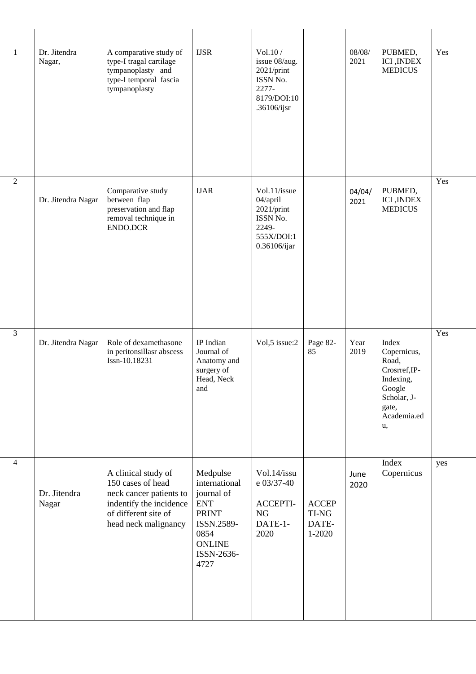| 1              | Dr. Jitendra<br>Nagar, | A comparative study of<br>type-I tragal cartilage<br>tympanoplasty and<br>type-I temporal fascia<br>tympanoplasty                              | <b>IJSR</b>                                                                                                                        | Vol.10 /<br>issue 08/aug.<br>2021/print<br>ISSN No.<br>2277-<br>8179/DOI:10<br>.36106/ijsr   |                                          | 08/08/<br>2021 | PUBMED,<br><b>ICI</b> , <b>INDEX</b><br><b>MEDICUS</b>                                                             | Yes |
|----------------|------------------------|------------------------------------------------------------------------------------------------------------------------------------------------|------------------------------------------------------------------------------------------------------------------------------------|----------------------------------------------------------------------------------------------|------------------------------------------|----------------|--------------------------------------------------------------------------------------------------------------------|-----|
| $\overline{2}$ | Dr. Jitendra Nagar     | Comparative study<br>between flap<br>preservation and flap<br>removal technique in<br>ENDO.DCR                                                 | <b>IJAR</b>                                                                                                                        | Vol.11/issue<br>04/april<br>$2021$ /print<br>ISSN No.<br>2249-<br>555X/DOI:1<br>0.36106/ijar |                                          | 04/04/<br>2021 | PUBMED,<br><b>ICI</b> , <b>INDEX</b><br><b>MEDICUS</b>                                                             | Yes |
| $\overline{3}$ | Dr. Jitendra Nagar     | Role of dexamethasone<br>in peritonsillasr abscess<br>Issn-10.18231                                                                            | IP Indian<br>Journal of<br>Anatomy and<br>surgery of<br>Head, Neck<br>and                                                          | Vol,5 issue:2                                                                                | Page 82-<br>85                           | Year<br>2019   | Index<br>Copernicus,<br>Road,<br>Crosrref, IP-<br>Indexing,<br>Google<br>Scholar, J-<br>gate,<br>Academia.ed<br>u, | Yes |
| $\overline{4}$ | Dr. Jitendra<br>Nagar  | A clinical study of<br>150 cases of head<br>neck cancer patients to<br>indentify the incidence<br>of different site of<br>head neck malignancy | Medpulse<br>international<br>journal of<br><b>ENT</b><br><b>PRINT</b><br>ISSN.2589-<br>0854<br><b>ONLINE</b><br>ISSN-2636-<br>4727 | Vol.14/issu<br>e 03/37-40<br>ACCEPTI-<br><b>NG</b><br>DATE-1-<br>2020                        | <b>ACCEP</b><br>TI-NG<br>DATE-<br>1-2020 | June<br>2020   | Index<br>Copernicus                                                                                                | yes |